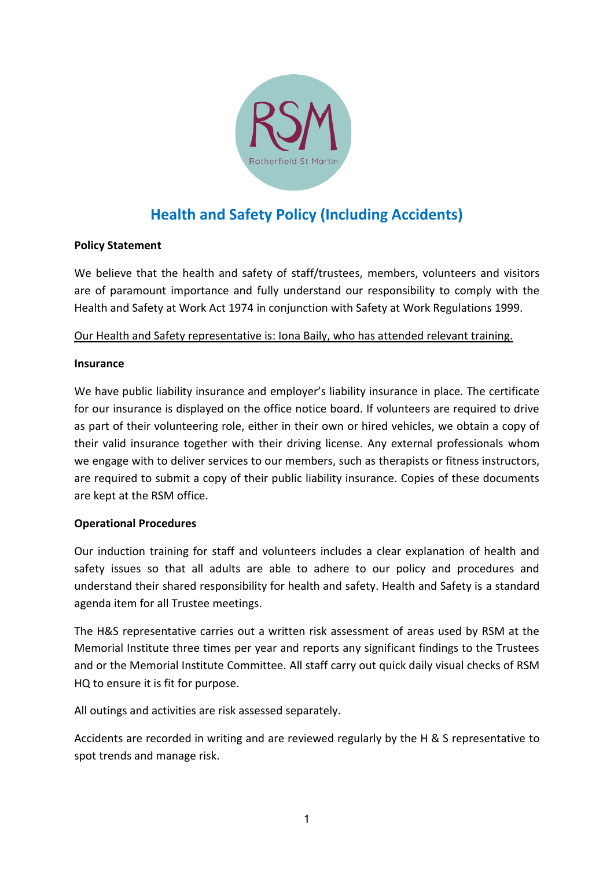

# **Health and Safety Policy (Including Accidents)**

# **Policy Statement**

We believe that the health and safety of staff/trustees, members, volunteers and visitors are of paramount importance and fully understand our responsibility to comply with the Health and Safety at Work Act 1974 in conjunction with Safety at Work Regulations 1999.

### Our Health and Safety representative is: Iona Baily, who has attended relevant training.

#### **Insurance**

We have public liability insurance and employer's liability insurance in place. The certificate for our insurance is displayed on the office notice board. If volunteers are required to drive as part of their volunteering role, either in their own or hired vehicles, we obtain a copy of their valid insurance together with their driving license. Any external professionals whom we engage with to deliver services to our members, such as therapists or fitness instructors, are required to submit a copy of their public liability insurance. Copies of these documents are kept at the RSM office.

# **Operational Procedures**

Our induction training for staff and volunteers includes a clear explanation of health and safety issues so that all adults are able to adhere to our policy and procedures and understand their shared responsibility for health and safety. Health and Safety is a standard agenda item for all Trustee meetings.

The H&S representative carries out a written risk assessment of areas used by RSM at the Memorial Institute three times per year and reports any significant findings to the Trustees and or the Memorial Institute Committee. All staff carry out quick daily visual checks of RSM HQ to ensure it is fit for purpose.

All outings and activities are risk assessed separately.

Accidents are recorded in writing and are reviewed regularly by the H & S representative to spot trends and manage risk.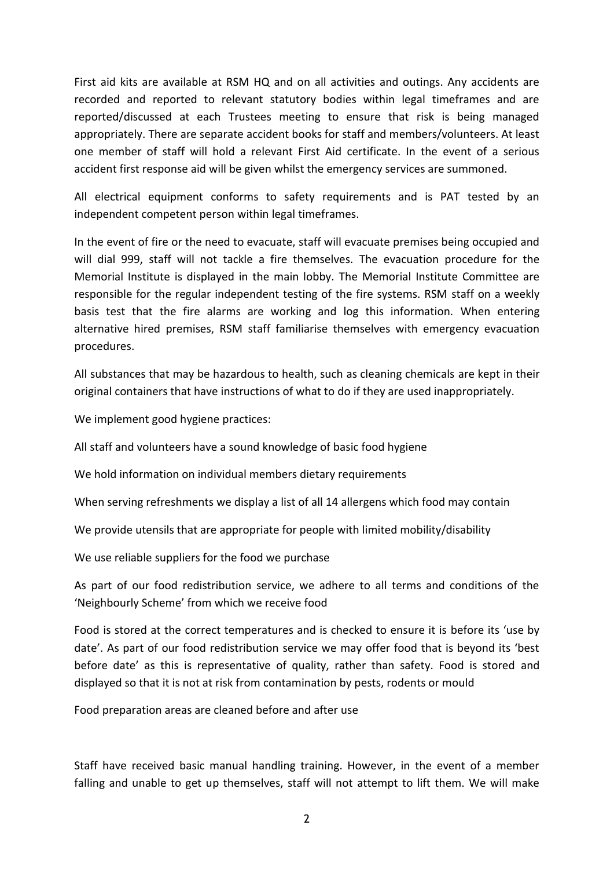First aid kits are available at RSM HQ and on all activities and outings. Any accidents are recorded and reported to relevant statutory bodies within legal timeframes and are reported/discussed at each Trustees meeting to ensure that risk is being managed appropriately. There are separate accident books for staff and members/volunteers. At least one member of staff will hold a relevant First Aid certificate. In the event of a serious accident first response aid will be given whilst the emergency services are summoned.

All electrical equipment conforms to safety requirements and is PAT tested by an independent competent person within legal timeframes.

In the event of fire or the need to evacuate, staff will evacuate premises being occupied and will dial 999, staff will not tackle a fire themselves. The evacuation procedure for the Memorial Institute is displayed in the main lobby. The Memorial Institute Committee are responsible for the regular independent testing of the fire systems. RSM staff on a weekly basis test that the fire alarms are working and log this information. When entering alternative hired premises, RSM staff familiarise themselves with emergency evacuation procedures.

All substances that may be hazardous to health, such as cleaning chemicals are kept in their original containers that have instructions of what to do if they are used inappropriately.

We implement good hygiene practices:

All staff and volunteers have a sound knowledge of basic food hygiene

We hold information on individual members dietary requirements

When serving refreshments we display a list of all 14 allergens which food may contain

We provide utensils that are appropriate for people with limited mobility/disability

We use reliable suppliers for the food we purchase

As part of our food redistribution service, we adhere to all terms and conditions of the 'Neighbourly Scheme' from which we receive food

Food is stored at the correct temperatures and is checked to ensure it is before its 'use by date'. As part of our food redistribution service we may offer food that is beyond its 'best before date' as this is representative of quality, rather than safety. Food is stored and displayed so that it is not at risk from contamination by pests, rodents or mould

Food preparation areas are cleaned before and after use

Staff have received basic manual handling training. However, in the event of a member falling and unable to get up themselves, staff will not attempt to lift them. We will make